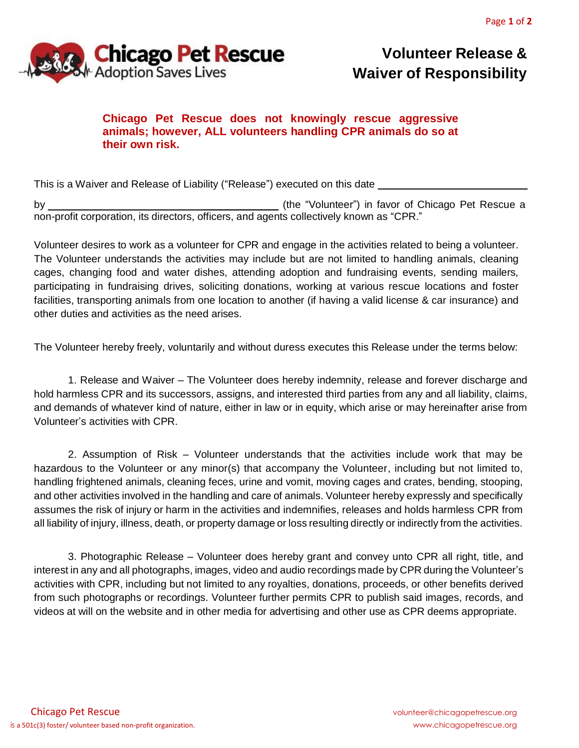

## **Volunteer Release & Waiver of Responsibility**

## **Chicago Pet Rescue does not knowingly rescue aggressive animals; however, ALL volunteers handling CPR animals do so at their own risk.**

This is a Waiver and Release of Liability ("Release") executed on this date

by \_\_\_\_\_\_\_\_\_\_\_\_\_ (the "Volunteer") in favor of Chicago Pet Rescue a non-profit corporation, its directors, officers, and agents collectively known as "CPR."

Volunteer desires to work as a volunteer for CPR and engage in the activities related to being a volunteer. The Volunteer understands the activities may include but are not limited to handling animals, cleaning cages, changing food and water dishes, attending adoption and fundraising events, sending mailers, participating in fundraising drives, soliciting donations, working at various rescue locations and foster facilities, transporting animals from one location to another (if having a valid license & car insurance) and other duties and activities as the need arises.

The Volunteer hereby freely, voluntarily and without duress executes this Release under the terms below:

1. Release and Waiver – The Volunteer does hereby indemnity, release and forever discharge and hold harmless CPR and its successors, assigns, and interested third parties from any and all liability, claims, and demands of whatever kind of nature, either in law or in equity, which arise or may hereinafter arise from Volunteer's activities with CPR.

2. Assumption of Risk – Volunteer understands that the activities include work that may be hazardous to the Volunteer or any minor(s) that accompany the Volunteer, including but not limited to, handling frightened animals, cleaning feces, urine and vomit, moving cages and crates, bending, stooping, and other activities involved in the handling and care of animals. Volunteer hereby expressly and specifically assumes the risk of injury or harm in the activities and indemnifies, releases and holds harmless CPR from all liability of injury, illness, death, or property damage or loss resulting directly or indirectly from the activities.

3. Photographic Release – Volunteer does hereby grant and convey unto CPR all right, title, and interest in any and all photographs, images, video and audio recordings made by CPR during the Volunteer's activities with CPR, including but not limited to any royalties, donations, proceeds, or other benefits derived from such photographs or recordings. Volunteer further permits CPR to publish said images, records, and videos at will on the website and in other media for advertising and other use as CPR deems appropriate.